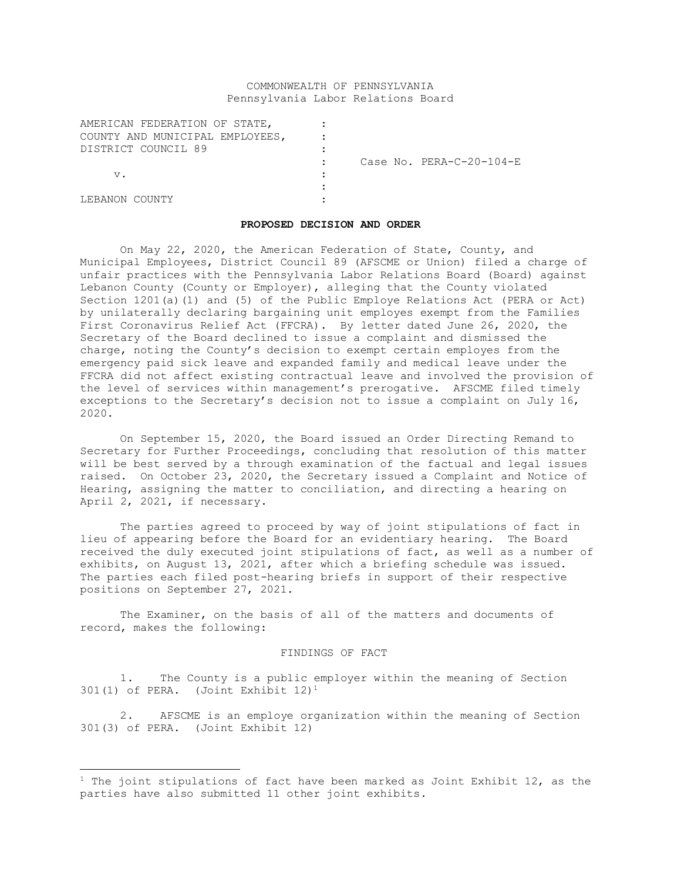# COMMONWEALTH OF PENNSYLVANIA Pennsylvania Labor Relations Board

| AMERICAN FEDERATION OF STATE,   |  |  |                          |
|---------------------------------|--|--|--------------------------|
| COUNTY AND MUNICIPAL EMPLOYEES, |  |  |                          |
| DISTRICT COUNCIL 89             |  |  |                          |
|                                 |  |  | Case No. PERA-C-20-104-E |
| v.                              |  |  |                          |
|                                 |  |  |                          |
| LEBANON COUNTY                  |  |  |                          |

### **PROPOSED DECISION AND ORDER**

On May 22, 2020, the American Federation of State, County, and Municipal Employees, District Council 89 (AFSCME or Union) filed a charge of unfair practices with the Pennsylvania Labor Relations Board (Board) against Lebanon County (County or Employer), alleging that the County violated Section 1201(a)(1) and (5) of the Public Employe Relations Act (PERA or Act) by unilaterally declaring bargaining unit employes exempt from the Families First Coronavirus Relief Act (FFCRA). By letter dated June 26, 2020, the Secretary of the Board declined to issue a complaint and dismissed the charge, noting the County's decision to exempt certain employes from the emergency paid sick leave and expanded family and medical leave under the FFCRA did not affect existing contractual leave and involved the provision of the level of services within management's prerogative. AFSCME filed timely exceptions to the Secretary's decision not to issue a complaint on July 16, 2020.

On September 15, 2020, the Board issued an Order Directing Remand to Secretary for Further Proceedings, concluding that resolution of this matter will be best served by a through examination of the factual and legal issues raised. On October 23, 2020, the Secretary issued a Complaint and Notice of Hearing, assigning the matter to conciliation, and directing a hearing on April 2, 2021, if necessary.

The parties agreed to proceed by way of joint stipulations of fact in lieu of appearing before the Board for an evidentiary hearing. The Board received the duly executed joint stipulations of fact, as well as a number of exhibits, on August 13, 2021, after which a briefing schedule was issued. The parties each filed post-hearing briefs in support of their respective positions on September 27, 2021.

The Examiner, on the basis of all of the matters and documents of record, makes the following:

#### FINDINGS OF FACT

1. The County is a public employer within the meaning of Section 301(1) of PERA. (Joint Exhibit 12)<sup>1</sup>

2. AFSCME is an employe organization within the meaning of Section 301(3) of PERA. (Joint Exhibit 12)

 $1$  The joint stipulations of fact have been marked as Joint Exhibit 12, as the parties have also submitted 11 other joint exhibits.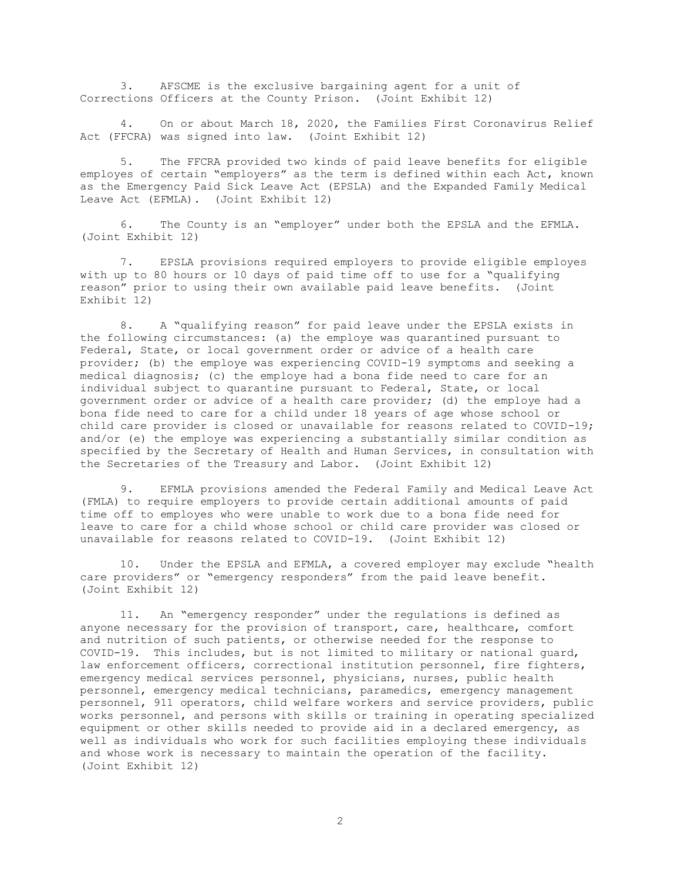3. AFSCME is the exclusive bargaining agent for a unit of Corrections Officers at the County Prison. (Joint Exhibit 12)

4. On or about March 18, 2020, the Families First Coronavirus Relief Act (FFCRA) was signed into law. (Joint Exhibit 12)

The FFCRA provided two kinds of paid leave benefits for eligible employes of certain "employers" as the term is defined within each Act, known as the Emergency Paid Sick Leave Act (EPSLA) and the Expanded Family Medical Leave Act (EFMLA). (Joint Exhibit 12)

6. The County is an "employer" under both the EPSLA and the EFMLA. (Joint Exhibit 12)

7. EPSLA provisions required employers to provide eligible employes with up to 80 hours or 10 days of paid time off to use for a "qualifying reason" prior to using their own available paid leave benefits. (Joint Exhibit 12)

8. A "qualifying reason" for paid leave under the EPSLA exists in the following circumstances: (a) the employe was quarantined pursuant to Federal, State, or local government order or advice of a health care provider; (b) the employe was experiencing COVID-19 symptoms and seeking a medical diagnosis; (c) the employe had a bona fide need to care for an individual subject to quarantine pursuant to Federal, State, or local government order or advice of a health care provider; (d) the employe had a bona fide need to care for a child under 18 years of age whose school or child care provider is closed or unavailable for reasons related to COVID-19; and/or (e) the employe was experiencing a substantially similar condition as specified by the Secretary of Health and Human Services, in consultation with the Secretaries of the Treasury and Labor. (Joint Exhibit 12)

9. EFMLA provisions amended the Federal Family and Medical Leave Act (FMLA) to require employers to provide certain additional amounts of paid time off to employes who were unable to work due to a bona fide need for leave to care for a child whose school or child care provider was closed or unavailable for reasons related to COVID-19. (Joint Exhibit 12)

10. Under the EPSLA and EFMLA, a covered employer may exclude "health care providers" or "emergency responders" from the paid leave benefit. (Joint Exhibit 12)

11. An "emergency responder" under the regulations is defined as anyone necessary for the provision of transport, care, healthcare, comfort and nutrition of such patients, or otherwise needed for the response to COVID-19. This includes, but is not limited to military or national guard, law enforcement officers, correctional institution personnel, fire fighters, emergency medical services personnel, physicians, nurses, public health personnel, emergency medical technicians, paramedics, emergency management personnel, 911 operators, child welfare workers and service providers, public works personnel, and persons with skills or training in operating specialized equipment or other skills needed to provide aid in a declared emergency, as well as individuals who work for such facilities employing these individuals and whose work is necessary to maintain the operation of the facility. (Joint Exhibit 12)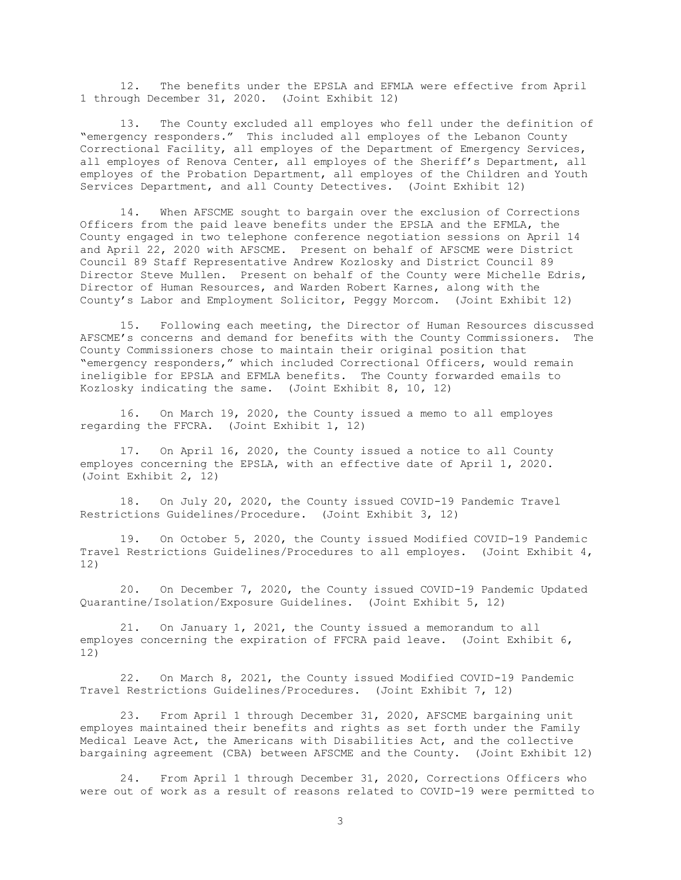12. The benefits under the EPSLA and EFMLA were effective from April 1 through December 31, 2020. (Joint Exhibit 12)

13. The County excluded all employes who fell under the definition of "emergency responders." This included all employes of the Lebanon County Correctional Facility, all employes of the Department of Emergency Services, all employes of Renova Center, all employes of the Sheriff's Department, all employes of the Probation Department, all employes of the Children and Youth Services Department, and all County Detectives. (Joint Exhibit 12)

14. When AFSCME sought to bargain over the exclusion of Corrections Officers from the paid leave benefits under the EPSLA and the EFMLA, the County engaged in two telephone conference negotiation sessions on April 14 and April 22, 2020 with AFSCME. Present on behalf of AFSCME were District Council 89 Staff Representative Andrew Kozlosky and District Council 89 Director Steve Mullen. Present on behalf of the County were Michelle Edris, Director of Human Resources, and Warden Robert Karnes, along with the County's Labor and Employment Solicitor, Peggy Morcom. (Joint Exhibit 12)

15. Following each meeting, the Director of Human Resources discussed AFSCME's concerns and demand for benefits with the County Commissioners. The County Commissioners chose to maintain their original position that "emergency responders," which included Correctional Officers, would remain ineligible for EPSLA and EFMLA benefits. The County forwarded emails to Kozlosky indicating the same. (Joint Exhibit 8, 10, 12)

16. On March 19, 2020, the County issued a memo to all employes regarding the FFCRA. (Joint Exhibit 1, 12)

17. On April 16, 2020, the County issued a notice to all County employes concerning the EPSLA, with an effective date of April 1, 2020. (Joint Exhibit 2, 12)

18. On July 20, 2020, the County issued COVID-19 Pandemic Travel Restrictions Guidelines/Procedure. (Joint Exhibit 3, 12)

19. On October 5, 2020, the County issued Modified COVID-19 Pandemic Travel Restrictions Guidelines/Procedures to all employes. (Joint Exhibit 4, 12)

20. On December 7, 2020, the County issued COVID-19 Pandemic Updated Quarantine/Isolation/Exposure Guidelines. (Joint Exhibit 5, 12)

21. On January 1, 2021, the County issued a memorandum to all employes concerning the expiration of FFCRA paid leave. (Joint Exhibit 6, 12)

22. On March 8, 2021, the County issued Modified COVID-19 Pandemic Travel Restrictions Guidelines/Procedures. (Joint Exhibit 7, 12)

23. From April 1 through December 31, 2020, AFSCME bargaining unit employes maintained their benefits and rights as set forth under the Family Medical Leave Act, the Americans with Disabilities Act, and the collective bargaining agreement (CBA) between AFSCME and the County. (Joint Exhibit 12)

24. From April 1 through December 31, 2020, Corrections Officers who were out of work as a result of reasons related to COVID-19 were permitted to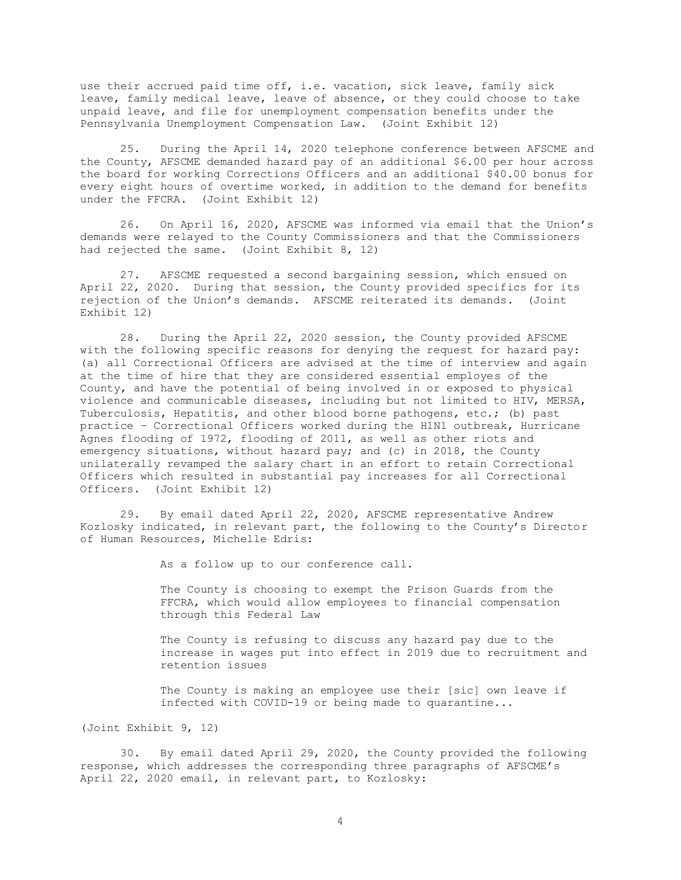use their accrued paid time off, i.e. vacation, sick leave, family sick leave, family medical leave, leave of absence, or they could choose to take unpaid leave, and file for unemployment compensation benefits under the Pennsylvania Unemployment Compensation Law. (Joint Exhibit 12)

25. During the April 14, 2020 telephone conference between AFSCME and the County, AFSCME demanded hazard pay of an additional \$6.00 per hour across the board for working Corrections Officers and an additional \$40.00 bonus for every eight hours of overtime worked, in addition to the demand for benefits under the FFCRA. (Joint Exhibit 12)

26. On April 16, 2020, AFSCME was informed via email that the Union's demands were relayed to the County Commissioners and that the Commissioners had rejected the same. (Joint Exhibit 8, 12)

27. AFSCME requested a second bargaining session, which ensued on April 22, 2020. During that session, the County provided specifics for its rejection of the Union's demands. AFSCME reiterated its demands. (Joint Exhibit 12)

28. During the April 22, 2020 session, the County provided AFSCME with the following specific reasons for denying the request for hazard pay: (a) all Correctional Officers are advised at the time of interview and again at the time of hire that they are considered essential employes of the County, and have the potential of being involved in or exposed to physical violence and communicable diseases, including but not limited to HIV, MERSA, Tuberculosis, Hepatitis, and other blood borne pathogens, etc.; (b) past practice – Correctional Officers worked during the H1N1 outbreak, Hurricane Agnes flooding of 1972, flooding of 2011, as well as other riots and emergency situations, without hazard pay; and (c) in 2018, the County unilaterally revamped the salary chart in an effort to retain Correctional Officers which resulted in substantial pay increases for all Correctional Officers. (Joint Exhibit 12)

29. By email dated April 22, 2020, AFSCME representative Andrew Kozlosky indicated, in relevant part, the following to the County's Director of Human Resources, Michelle Edris:

As a follow up to our conference call.

The County is choosing to exempt the Prison Guards from the FFCRA, which would allow employees to financial compensation through this Federal Law

The County is refusing to discuss any hazard pay due to the increase in wages put into effect in 2019 due to recruitment and retention issues

The County is making an employee use their [sic] own leave if infected with COVID-19 or being made to quarantine...

(Joint Exhibit 9, 12)

30. By email dated April 29, 2020, the County provided the following response, which addresses the corresponding three paragraphs of AFSCME's April 22, 2020 email, in relevant part, to Kozlosky: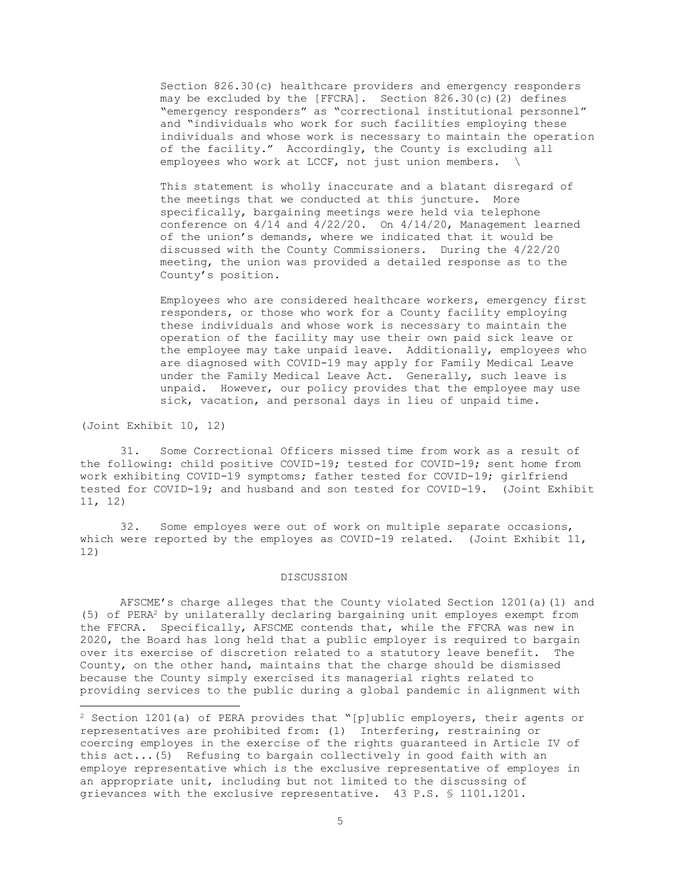Section 826.30(c) healthcare providers and emergency responders may be excluded by the [FFCRA]. Section 826.30(c)(2) defines "emergency responders" as "correctional institutional personnel" and "individuals who work for such facilities employing these individuals and whose work is necessary to maintain the operation of the facility." Accordingly, the County is excluding all employees who work at LCCF, not just union members.  $\setminus$ 

This statement is wholly inaccurate and a blatant disregard of the meetings that we conducted at this juncture. More specifically, bargaining meetings were held via telephone conference on 4/14 and 4/22/20. On 4/14/20, Management learned of the union's demands, where we indicated that it would be discussed with the County Commissioners. During the 4/22/20 meeting, the union was provided a detailed response as to the County's position.

Employees who are considered healthcare workers, emergency first responders, or those who work for a County facility employing these individuals and whose work is necessary to maintain the operation of the facility may use their own paid sick leave or the employee may take unpaid leave. Additionally, employees who are diagnosed with COVID-19 may apply for Family Medical Leave under the Family Medical Leave Act. Generally, such leave is unpaid. However, our policy provides that the employee may use sick, vacation, and personal days in lieu of unpaid time.

(Joint Exhibit 10, 12)

31. Some Correctional Officers missed time from work as a result of the following: child positive COVID-19; tested for COVID-19; sent home from work exhibiting COVID-19 symptoms; father tested for COVID-19; girlfriend tested for COVID-19; and husband and son tested for COVID-19. (Joint Exhibit 11, 12)

32. Some employes were out of work on multiple separate occasions, which were reported by the employes as COVID-19 related. (Joint Exhibit 11, 12)

# DISCUSSION

AFSCME's charge alleges that the County violated Section 1201(a)(1) and (5) of PERA<sup>2</sup> by unilaterally declaring bargaining unit employes exempt from the FFCRA. Specifically, AFSCME contends that, while the FFCRA was new in 2020, the Board has long held that a public employer is required to bargain over its exercise of discretion related to a statutory leave benefit. The County, on the other hand, maintains that the charge should be dismissed because the County simply exercised its managerial rights related to providing services to the public during a global pandemic in alignment with

<sup>&</sup>lt;sup>2</sup> Section 1201(a) of PERA provides that "[p]ublic employers, their agents or representatives are prohibited from: (1) Interfering, restraining or coercing employes in the exercise of the rights guaranteed in Article IV of this act...(5) Refusing to bargain collectively in good faith with an employe representative which is the exclusive representative of employes in an appropriate unit, including but not limited to the discussing of grievances with the exclusive representative. 43 P.S. § 1101.1201.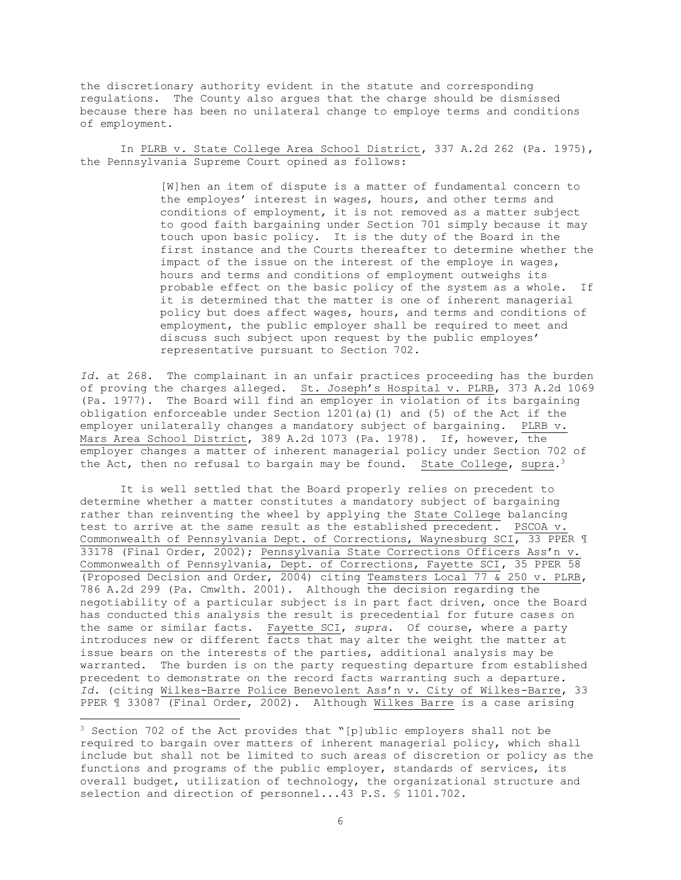the discretionary authority evident in the statute and corresponding regulations. The County also argues that the charge should be dismissed because there has been no unilateral change to employe terms and conditions of employment.

In PLRB v. State College Area School District, 337 A.2d 262 (Pa. 1975), the Pennsylvania Supreme Court opined as follows:

> [W]hen an item of dispute is a matter of fundamental concern to the employes' interest in wages, hours, and other terms and conditions of employment, it is not removed as a matter subject to good faith bargaining under Section 701 simply because it may touch upon basic policy. It is the duty of the Board in the first instance and the Courts thereafter to determine whether the impact of the issue on the interest of the employe in wages, hours and terms and conditions of employment outweighs its probable effect on the basic policy of the system as a whole. If it is determined that the matter is one of inherent managerial policy but does affect wages, hours, and terms and conditions of employment, the public employer shall be required to meet and discuss such subject upon request by the public employes' representative pursuant to Section 702.

Id. at 268. The complainant in an unfair practices proceeding has the burden of proving the charges alleged. St. Joseph's Hospital v. PLRB, 373 A.2d 1069 (Pa. 1977). The Board will find an employer in violation of its bargaining obligation enforceable under Section 1201(a)(1) and (5) of the Act if the employer unilaterally changes a mandatory subject of bargaining. PLRB v. Mars Area School District, 389 A.2d 1073 (Pa. 1978). If, however, the employer changes a matter of inherent managerial policy under Section 702 of the Act, then no refusal to bargain may be found. State College, supra.<sup>3</sup>

It is well settled that the Board properly relies on precedent to determine whether a matter constitutes a mandatory subject of bargaining rather than reinventing the wheel by applying the State College balancing test to arrive at the same result as the established precedent. PSCOA v. Commonwealth of Pennsylvania Dept. of Corrections, Waynesburg SCI, 33 PPER 1 33178 (Final Order, 2002); Pennsylvania State Corrections Officers Ass'n v. Commonwealth of Pennsylvania, Dept. of Corrections, Fayette SCI, 35 PPER 58 (Proposed Decision and Order, 2004) citing Teamsters Local 77 & 250 v. PLRB, 786 A.2d 299 (Pa. Cmwlth. 2001). Although the decision regarding the negotiability of a particular subject is in part fact driven, once the Board has conducted this analysis the result is precedential for future cases on the same or similar facts. Fayette SCI, *supra.* Of course, where a party introduces new or different facts that may alter the weight the matter at issue bears on the interests of the parties, additional analysis may be warranted. The burden is on the party requesting departure from established precedent to demonstrate on the record facts warranting such a departure. *Id.* (citing Wilkes-Barre Police Benevolent Ass'n v. City of Wilkes-Barre, 33 PPER 1 33087 (Final Order, 2002). Although Wilkes Barre is a case arising

<sup>3</sup> Section 702 of the Act provides that "[p]ublic employers shall not be required to bargain over matters of inherent managerial policy, which shall include but shall not be limited to such areas of discretion or policy as the functions and programs of the public employer, standards of services, its overall budget, utilization of technology, the organizational structure and selection and direction of personnel...43 P.S. § 1101.702.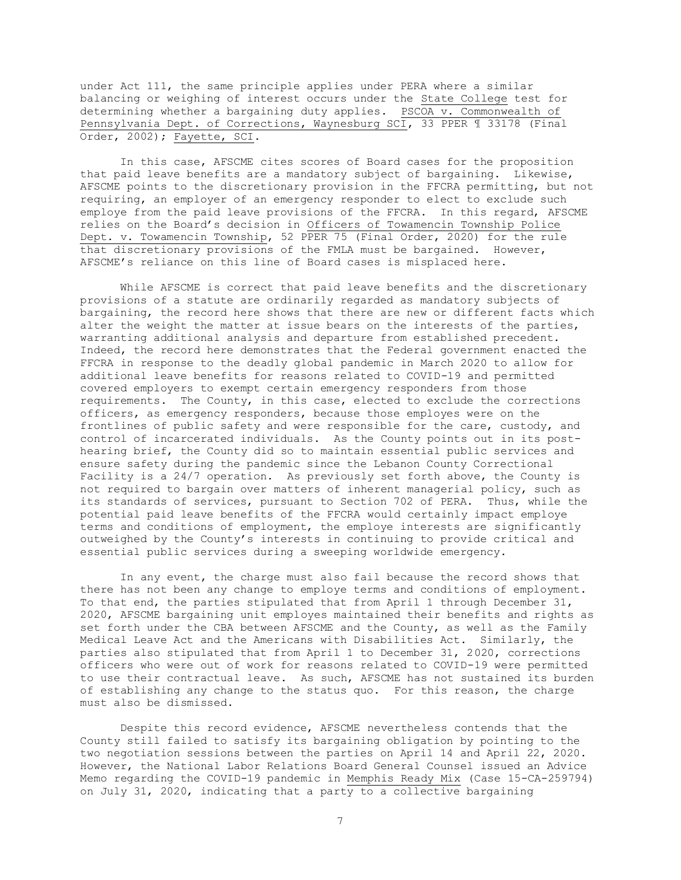under Act 111, the same principle applies under PERA where a similar balancing or weighing of interest occurs under the State College test for determining whether a bargaining duty applies. PSCOA v. Commonwealth of Pennsylvania Dept. of Corrections, Waynesburg SCI, 33 PPER ¶ 33178 (Final Order, 2002); Fayette, SCI.

In this case, AFSCME cites scores of Board cases for the proposition that paid leave benefits are a mandatory subject of bargaining. Likewise, AFSCME points to the discretionary provision in the FFCRA permitting, but not requiring, an employer of an emergency responder to elect to exclude such employe from the paid leave provisions of the FFCRA. In this regard, AFSCME relies on the Board's decision in Officers of Towamencin Township Police Dept. v. Towamencin Township, 52 PPER 75 (Final Order, 2020) for the rule that discretionary provisions of the FMLA must be bargained. However, AFSCME's reliance on this line of Board cases is misplaced here.

While AFSCME is correct that paid leave benefits and the discretionary provisions of a statute are ordinarily regarded as mandatory subjects of bargaining, the record here shows that there are new or different facts which alter the weight the matter at issue bears on the interests of the parties, warranting additional analysis and departure from established precedent. Indeed, the record here demonstrates that the Federal government enacted the FFCRA in response to the deadly global pandemic in March 2020 to allow for additional leave benefits for reasons related to COVID-19 and permitted covered employers to exempt certain emergency responders from those requirements. The County, in this case, elected to exclude the corrections officers, as emergency responders, because those employes were on the frontlines of public safety and were responsible for the care, custody, and control of incarcerated individuals. As the County points out in its posthearing brief, the County did so to maintain essential public services and ensure safety during the pandemic since the Lebanon County Correctional Facility is a 24/7 operation. As previously set forth above, the County is not required to bargain over matters of inherent managerial policy, such as its standards of services, pursuant to Section 702 of PERA. Thus, while the potential paid leave benefits of the FFCRA would certainly impact employe terms and conditions of employment, the employe interests are significantly outweighed by the County's interests in continuing to provide critical and essential public services during a sweeping worldwide emergency.

In any event, the charge must also fail because the record shows that there has not been any change to employe terms and conditions of employment. To that end, the parties stipulated that from April 1 through December 31, 2020, AFSCME bargaining unit employes maintained their benefits and rights as set forth under the CBA between AFSCME and the County, as well as the Family Medical Leave Act and the Americans with Disabilities Act. Similarly, the parties also stipulated that from April 1 to December 31, 2020, corrections officers who were out of work for reasons related to COVID-19 were permitted to use their contractual leave. As such, AFSCME has not sustained its burden of establishing any change to the status quo. For this reason, the charge must also be dismissed.

Despite this record evidence, AFSCME nevertheless contends that the County still failed to satisfy its bargaining obligation by pointing to the two negotiation sessions between the parties on April 14 and April 22, 2020. However, the National Labor Relations Board General Counsel issued an Advice Memo regarding the COVID-19 pandemic in Memphis Ready Mix (Case 15-CA-259794) on July 31, 2020, indicating that a party to a collective bargaining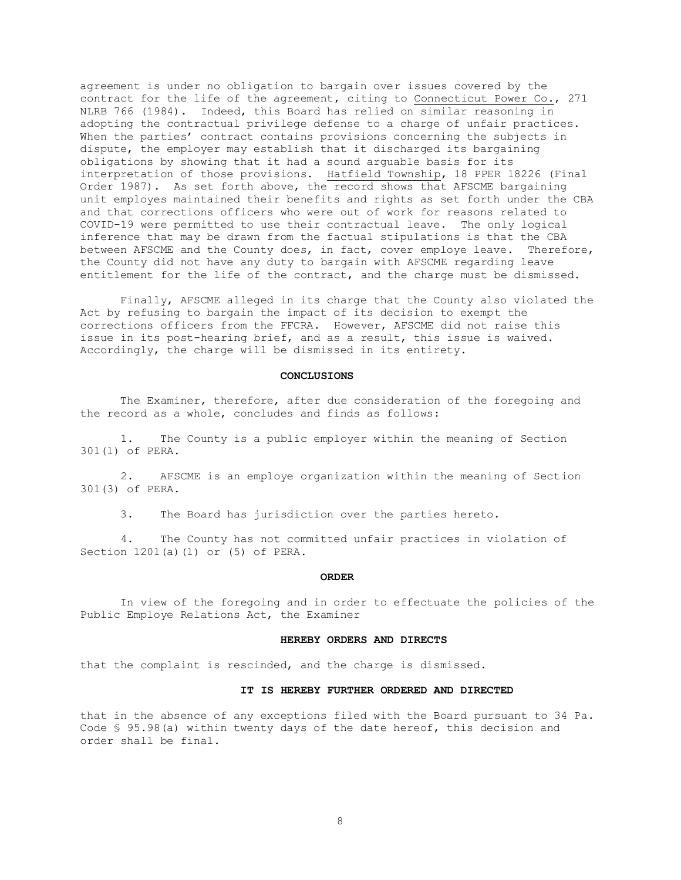agreement is under no obligation to bargain over issues covered by the contract for the life of the agreement, citing to Connecticut Power Co., 271 NLRB 766 (1984). Indeed, this Board has relied on similar reasoning in adopting the contractual privilege defense to a charge of unfair practices. When the parties' contract contains provisions concerning the subjects in dispute, the employer may establish that it discharged its bargaining obligations by showing that it had a sound arguable basis for its interpretation of those provisions. Hatfield Township, 18 PPER 18226 (Final Order 1987). As set forth above, the record shows that AFSCME bargaining unit employes maintained their benefits and rights as set forth under the CBA and that corrections officers who were out of work for reasons related to COVID-19 were permitted to use their contractual leave. The only logical inference that may be drawn from the factual stipulations is that the CBA between AFSCME and the County does, in fact, cover employe leave. Therefore, the County did not have any duty to bargain with AFSCME regarding leave entitlement for the life of the contract, and the charge must be dismissed.

Finally, AFSCME alleged in its charge that the County also violated the Act by refusing to bargain the impact of its decision to exempt the corrections officers from the FFCRA. However, AFSCME did not raise this issue in its post-hearing brief, and as a result, this issue is waived. Accordingly, the charge will be dismissed in its entirety.

#### **CONCLUSIONS**

The Examiner, therefore, after due consideration of the foregoing and the record as a whole, concludes and finds as follows:

 1. The County is a public employer within the meaning of Section 301(1) of PERA.

 2. AFSCME is an employe organization within the meaning of Section 301(3) of PERA.

3. The Board has jurisdiction over the parties hereto.

 4. The County has not committed unfair practices in violation of Section 1201(a)(1) or (5) of PERA.

## **ORDER**

In view of the foregoing and in order to effectuate the policies of the Public Employe Relations Act, the Examiner

#### **HEREBY ORDERS AND DIRECTS**

that the complaint is rescinded, and the charge is dismissed.

### **IT IS HEREBY FURTHER ORDERED AND DIRECTED**

that in the absence of any exceptions filed with the Board pursuant to 34 Pa. Code § 95.98(a) within twenty days of the date hereof, this decision and order shall be final.